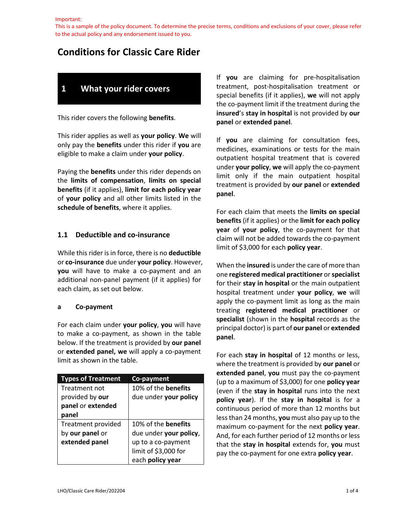This is a sample of the policy document. To determine the precise terms, conditions and exclusions of your cover, please refer to the actual policy and any endorsement issued to you.

# **Conditions for Classic Care Rider**

# **1 What your rider covers**

This rider covers the following **benefits**.

This rider applies as well as **your policy**. **We** will only pay the **benefits** under this rider if **you** are eligible to make a claim under **your policy**.

Paying the **benefits** under this rider depends on the **limits of compensation**, **limits on special benefits** (if it applies), **limit for each policy year** of **your policy** and all other limits listed in the **schedule of benefits**, where it applies.

## **1.1 Deductible and co-insurance**

While this rider is in force, there is no **deductible**  or **co-insurance** due under **your policy**. However, **you** will have to make a co-payment and an additional non-panel payment (if it applies) for each claim, as set out below.

#### **a Co-payment**

For each claim under **your policy**, **you** will have to make a co-payment, as shown in the table below. If the treatment is provided by **our panel** or **extended panel, we** will apply a co-payment limit as shown in the table.

| <b>Types of Treatment</b> | Co-payment                 |
|---------------------------|----------------------------|
| Treatment not             | 10% of the <b>benefits</b> |
| provided by our           | due under your policy      |
| panel or extended         |                            |
| panel                     |                            |
| Treatment provided        | 10% of the <b>benefits</b> |
| by our panel or           | due under your policy,     |
| extended panel            | up to a co-payment         |
|                           | limit of \$3,000 for       |
|                           | each policy year           |

If **you** are claiming for pre-hospitalisation treatment, post-hospitalisation treatment or special benefits (if it applies), **we** will not apply the co-payment limit if the treatment during the **insured**'s **stay in hospital** is not provided by **our panel** or **extended panel**.

If **you** are claiming for consultation fees, medicines, examinations or tests for the main outpatient hospital treatment that is covered under **your policy**, **we** will apply the co-payment limit only if the main outpatient hospital treatment is provided by **our panel** or **extended panel**.

For each claim that meets the **limits on special benefits** (if it applies) or the **limit for each policy year** of **your policy**, the co-payment for that claim will not be added towards the co-payment limit of \$3,000 for each **policy year**.

When the **insured** is under the care of more than one **registered medical practitioner** or **specialist**  for their **stay in hospital** or the main outpatient hospital treatment under **your policy**, **we** will apply the co-payment limit as long as the main treating **registered medical practitioner** or **specialist** (shown in the **hospital** records as the principal doctor) is part of **our panel** or **extended panel**.

For each **stay in hospital** of 12 months or less, where the treatment is provided by **our panel** or **extended panel**, **you** must pay the co-payment (up to a maximum of \$3,000) for one **policy year** (even if the **stay in hospital** runs into the next **policy year**). If the **stay in hospital** is for a continuous period of more than 12 months but less than 24 months, **you** must also pay up to the maximum co-payment for the next **policy year**. And, for each further period of 12 months or less that the **stay in hospital** extends for, **you** must pay the co-payment for one extra **policy year**.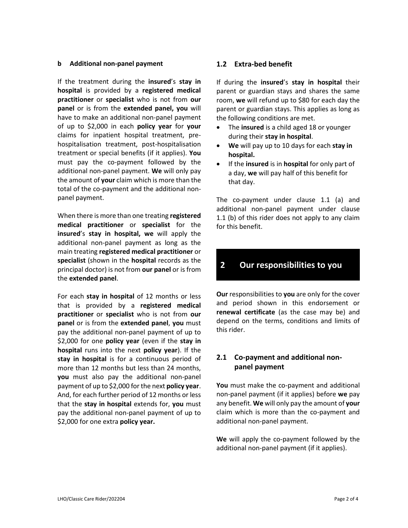#### **b Additional non-panel payment**

If the treatment during the **insured**'s **stay in hospital** is provided by a **registered medical practitioner** or **specialist** who is not from **our panel** or is from the **extended panel, you** will have to make an additional non-panel payment of up to \$2,000 in each **policy year** for **your** claims for inpatient hospital treatment, prehospitalisation treatment, post-hospitalisation treatment or special benefits (if it applies). **You**  must pay the co-payment followed by the additional non-panel payment. **We** will only pay the amount of **your** claim which is more than the total of the co-payment and the additional nonpanel payment.

When there is more than one treating **registered medical practitioner** or **specialist** for the **insured**'s **stay in hospital, we** will apply the additional non-panel payment as long as the main treating **registered medical practitioner** or **specialist** (shown in the **hospital** records as the principal doctor) is not from **our panel** or is from the **extended panel**.

For each **stay in hospital** of 12 months or less that is provided by a **registered medical practitioner** or **specialist** who is not from **our panel** or is from the **extended panel**, **you** must pay the additional non-panel payment of up to \$2,000 for one **policy year** (even if the **stay in hospital** runs into the next **policy year**). If the **stay in hospital** is for a continuous period of more than 12 months but less than 24 months, **you** must also pay the additional non-panel payment of up to \$2,000 for the next **policy year**. And, for each further period of 12 months or less that the **stay in hospital** extends for, **you** must pay the additional non-panel payment of up to \$2,000 for one extra **policy year.**

### **1.2 Extra-bed benefit**

If during the **insured**'s **stay in hospital** their parent or guardian stays and shares the same room, **we** will refund up to \$80 for each day the parent or guardian stays. This applies as long as the following conditions are met.

- The **insured** is a child aged 18 or younger during their **stay in hospital**.
- **We** will pay up to 10 days for each **stay in hospital.**
- If the **insured** is in **hospital** for only part of a day, **we** will pay half of this benefit for that day.

The co-payment under clause 1.1 (a) and additional non-panel payment under clause 1.1 (b) of this rider does not apply to any claim for this benefit.

# **2 Our responsibilities to you**

**Our** responsibilities to **you** are only for the cover and period shown in this endorsement or **renewal certificate** (as the case may be) and depend on the terms, conditions and limits of this rider.

# **2.1 Co-payment and additional nonpanel payment**

**You** must make the co-payment and additional non-panel payment (if it applies) before **we** pay any benefit. **We** will only pay the amount of **your** claim which is more than the co-payment and additional non-panel payment.

**We** will apply the co-payment followed by the additional non-panel payment (if it applies).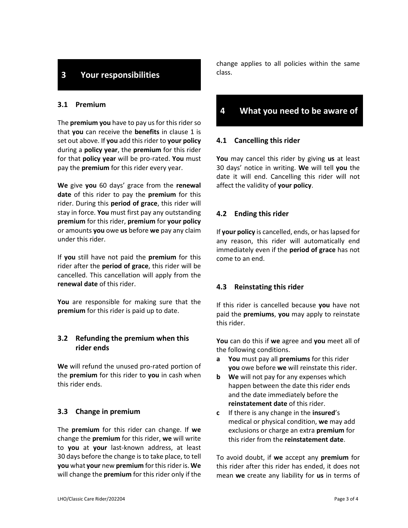# **3 Your responsibilities**

### **3.1 Premium**

The **premium you** have to pay us for this rider so that **you** can receive the **benefits** in clause 1 is set out above. If **you** add this rider to **your policy** during a **policy year**, the **premium** for this rider for that **policy year** will be pro-rated. **You** must pay the **premium** for this rider every year.

**We** give **you** 60 days' grace from the **renewal date** of this rider to pay the **premium** for this rider. During this **period of grace**, this rider will stay in force. **You** must first pay any outstanding **premium** for this rider, **premium** for **your policy** or amounts **you** owe **us** before **we** pay any claim under this rider.

If **you** still have not paid the **premium** for this rider after the **period of grace**, this rider will be cancelled. This cancellation will apply from the **renewal date** of this rider.

**You** are responsible for making sure that the **premium** for this rider is paid up to date.

## **3.2 Refunding the premium when this rider ends**

**We** will refund the unused pro-rated portion of the **premium** for this rider to **you** in cash when this rider ends.

#### **3.3 Change in premium**

The **premium** for this rider can change. If **we**  change the **premium** for this rider, **we** will write to **you** at **your** last-known address, at least 30 days before the change is to take place, to tell **you** what **your** new **premium** for this rider is. **We** will change the **premium** for this rider only if the change applies to all policies within the same class.

# **4 What you need to be aware of**

#### **4.1 Cancelling this rider**

**You** may cancel this rider by giving **us** at least 30 days' notice in writing. **We** will tell **you** the date it will end. Cancelling this rider will not affect the validity of **your policy**.

## **4.2 Ending this rider**

If **your policy** is cancelled, ends, or has lapsed for any reason, this rider will automatically end immediately even if the **period of grace** has not come to an end.

#### **4.3 Reinstating this rider**

If this rider is cancelled because **you** have not paid the **premiums**, **you** may apply to reinstate this rider.

**You** can do this if **we** agree and **you** meet all of the following conditions.

- **a You** must pay all **premiums** for this rider **you** owe before **we** will reinstate this rider.
- **b We** will not pay for any expenses which happen between the date this rider ends and the date immediately before the **reinstatement date** of this rider.
- **c** If there is any change in the **insured**'s medical or physical condition, **we** may add exclusions or charge an extra **premium** for this rider from the **reinstatement date**.

To avoid doubt, if **we** accept any **premium** for this rider after this rider has ended, it does not mean **we** create any liability for **us** in terms of